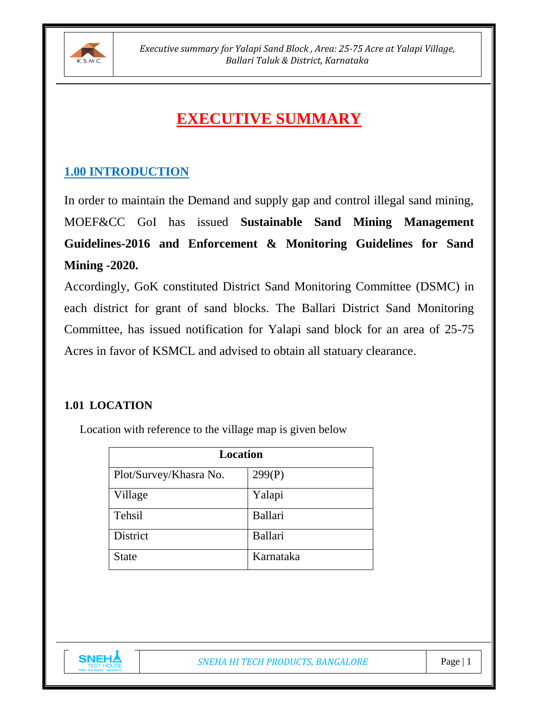

# **EXECUTIVE SUMMARY**

# **1.00 INTRODUCTION**

In order to maintain the Demand and supply gap and control illegal sand mining, MOEF&CC GoI has issued **Sustainable Sand Mining Management Guidelines-2016 and Enforcement & Monitoring Guidelines for Sand Mining -2020.** 

Accordingly, GoK constituted District Sand Monitoring Committee (DSMC) in each district for grant of sand blocks. The Ballari District Sand Monitoring Committee, has issued notification for Yalapi sand block for an area of 25-75 Acres in favor of KSMCL and advised to obtain all statuary clearance.

#### **1.01 LOCATION**

Location with reference to the village map is given below

| <b>Location</b>        |           |  |
|------------------------|-----------|--|
| Plot/Survey/Khasra No. | 299(P)    |  |
| Village                | Yalapi    |  |
| Tehsil                 | Ballari   |  |
| <b>District</b>        | Ballari   |  |
| <b>State</b>           | Karnataka |  |

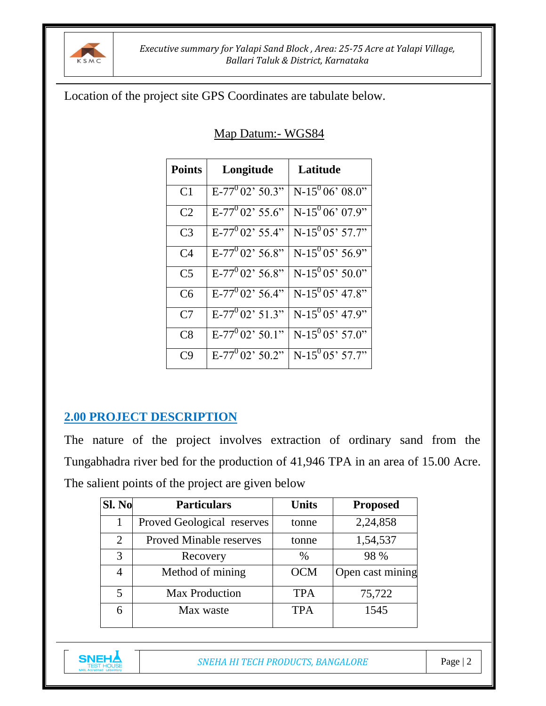

#### Location of the project site GPS Coordinates are tabulate below.

| Map Datum: - WGS84 |  |
|--------------------|--|
|                    |  |

| <b>Points</b>  | Longitude              | Latitude               |
|----------------|------------------------|------------------------|
| C <sub>1</sub> | $E-77^{0}02^{3}50.3$ " | $N-15^{0}06^{0}08.0$ " |
| C <sub>2</sub> | $E-77^{0}02^{7}55.6"$  | $N-15^{0}06'07.9"$     |
| C <sub>3</sub> | $E-77^{0}02^{3}55.4"$  | $N-15^{0}05'57.7"$     |
| C <sub>4</sub> | $E-77^{0}02^{3}56.8"$  | $N-15^{0}05'56.9"$     |
| C <sub>5</sub> | $E-77^{0}02^{3}56.8"$  | $N-15^{0}05'50.0"$     |
| C <sub>6</sub> | $E-77^{0}02^{3}56.4"$  | $N-15^{0}05'47.8"$     |
| C7             | $E-77^{0}02^{3}51.3"$  | $N-15^{0}05'47.9"$     |
| C8             | $E-77^{0}02^{3}50.1"$  | $N-15^{0}05'57.0"$     |
| C9             | $E-77^{0}02$ ' 50.2"   | $N-15^{0}05'57.7"$     |

## **2.00 PROJECT DESCRIPTION**

The nature of the project involves extraction of ordinary sand from the Tungabhadra river bed for the production of 41,946 TPA in an area of 15.00 Acre. The salient points of the project are given below

| <b>Sl. No</b>  | <b>Particulars</b>             | <b>Units</b> | <b>Proposed</b>  |
|----------------|--------------------------------|--------------|------------------|
| 1              | Proved Geological reserves     | tonne        | 2,24,858         |
| $\overline{2}$ | <b>Proved Minable reserves</b> | tonne        | 1,54,537         |
| 3              | Recovery                       | $\%$         | 98 %             |
| 4              | Method of mining               | <b>OCM</b>   | Open cast mining |
| 5              | <b>Max Production</b>          | <b>TPA</b>   | 75,722           |
| 6              | Max waste                      | <b>TPA</b>   | 1545             |

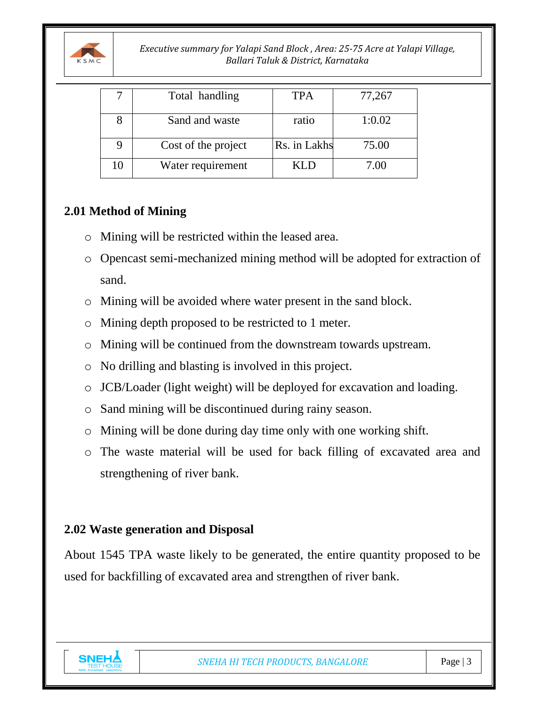

*Executive summary for Yalapi Sand Block , Area: 25-75 Acre at Yalapi Village, Ballari Taluk & District, Karnataka*

|    | Total handling      | <b>TPA</b>   | 77,267 |
|----|---------------------|--------------|--------|
|    | Sand and waste      | ratio        | 1:0.02 |
|    | Cost of the project | Rs. in Lakhs | 75.00  |
| 10 | Water requirement   | KLD          | 7.00   |

## **2.01 Method of Mining**

- o Mining will be restricted within the leased area.
- o Opencast semi-mechanized mining method will be adopted for extraction of sand.
- o Mining will be avoided where water present in the sand block.
- o Mining depth proposed to be restricted to 1 meter.
- o Mining will be continued from the downstream towards upstream.
- o No drilling and blasting is involved in this project.
- o JCB/Loader (light weight) will be deployed for excavation and loading.
- o Sand mining will be discontinued during rainy season.
- o Mining will be done during day time only with one working shift.
- o The waste material will be used for back filling of excavated area and strengthening of river bank.

## **2.02 Waste generation and Disposal**

About 1545 TPA waste likely to be generated, the entire quantity proposed to be used for backfilling of excavated area and strengthen of river bank.

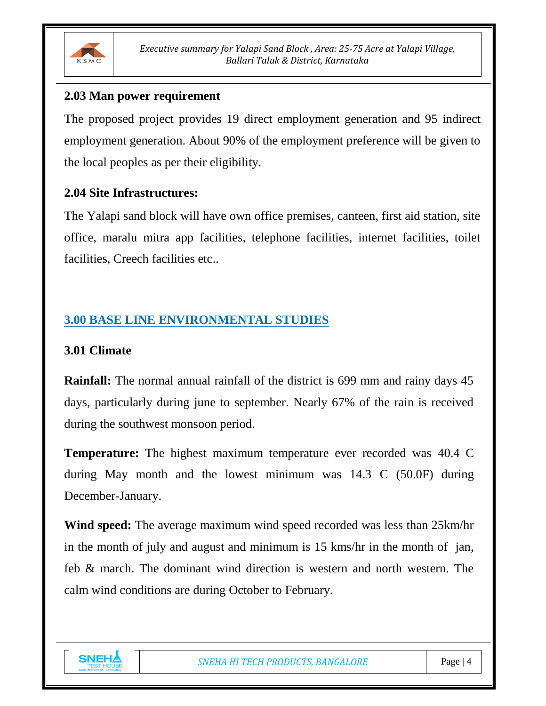

#### **2.03 Man power requirement**

The proposed project provides 19 direct employment generation and 95 indirect employment generation. About 90% of the employment preference will be given to the local peoples as per their eligibility.

#### **2.04 Site Infrastructures:**

The Yalapi sand block will have own office premises, canteen, first aid station, site office, maralu mitra app facilities, telephone facilities, internet facilities, toilet facilities, Creech facilities etc..

# **3.00 BASE LINE ENVIRONMENTAL STUDIES**

#### **3.01 Climate**

**Rainfall:** The normal annual rainfall of the district is 699 mm and rainy days 45 days, particularly during june to september. Nearly 67% of the rain is received during the southwest monsoon period.

**Temperature:** The highest maximum temperature ever recorded was 40.4 C during May month and the lowest minimum was 14.3 C (50.0F) during December-January.

**Wind speed:** The average maximum wind speed recorded was less than 25km/hr in the month of july and august and minimum is 15 kms/hr in the month of jan, feb & march. The dominant wind direction is western and north western. The calm wind conditions are during October to February.

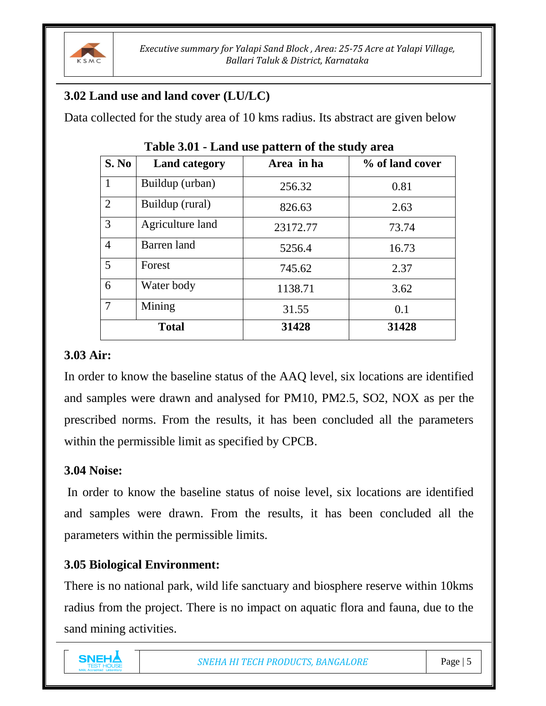

# **3.02 Land use and land cover (LU/LC)**

Data collected for the study area of 10 kms radius. Its abstract are given below

| <b>S. No</b>   | <b>Land category</b> | Area in ha | % of land cover |
|----------------|----------------------|------------|-----------------|
| 1              | Buildup (urban)      | 256.32     | 0.81            |
| $\overline{2}$ | Buildup (rural)      | 826.63     | 2.63            |
| 3              | Agriculture land     | 23172.77   | 73.74           |
| $\overline{4}$ | Barren land          | 5256.4     | 16.73           |
| 5              | Forest               | 745.62     | 2.37            |
| 6              | Water body           | 1138.71    | 3.62            |
| $\overline{7}$ | Mining               | 31.55      | 0.1             |
|                | <b>Total</b>         | 31428      | 31428           |

**Table 3.01 - Land use pattern of the study area**

#### **3.03 Air:**

In order to know the baseline status of the AAQ level, six locations are identified and samples were drawn and analysed for PM10, PM2.5, SO2, NOX as per the prescribed norms. From the results, it has been concluded all the parameters within the permissible limit as specified by CPCB.

## **3.04 Noise:**

In order to know the baseline status of noise level, six locations are identified and samples were drawn. From the results, it has been concluded all the parameters within the permissible limits.

# **3.05 Biological Environment:**

There is no national park, wild life sanctuary and biosphere reserve within 10kms radius from the project. There is no impact on aquatic flora and fauna, due to the sand mining activities.

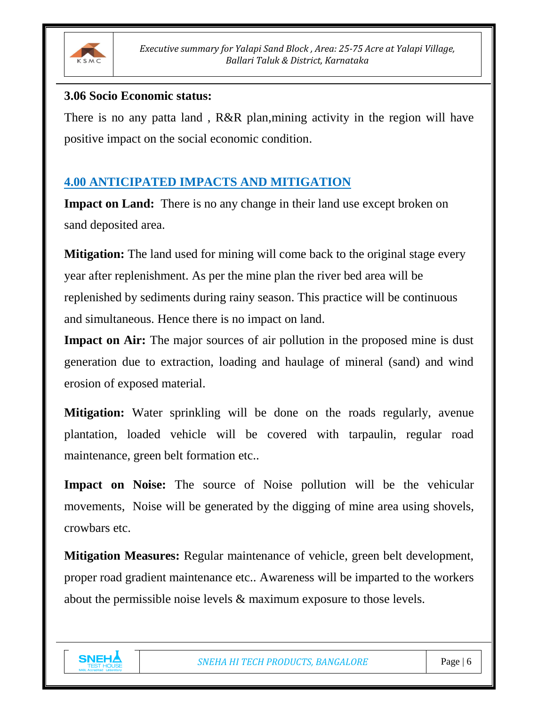

#### **3.06 Socio Economic status:**

There is no any patta land, R&R plan, mining activity in the region will have positive impact on the social economic condition.

# **4.00 ANTICIPATED IMPACTS AND MITIGATION**

**Impact on Land:** There is no any change in their land use except broken on sand deposited area.

**Mitigation:** The land used for mining will come back to the original stage every year after replenishment. As per the mine plan the river bed area will be replenished by sediments during rainy season. This practice will be continuous and simultaneous. Hence there is no impact on land.

**Impact on Air:** The major sources of air pollution in the proposed mine is dust generation due to extraction, loading and haulage of mineral (sand) and wind erosion of exposed material.

**Mitigation:** Water sprinkling will be done on the roads regularly, avenue plantation, loaded vehicle will be covered with tarpaulin, regular road maintenance, green belt formation etc..

**Impact on Noise:** The source of Noise pollution will be the vehicular movements, Noise will be generated by the digging of mine area using shovels, crowbars etc.

**Mitigation Measures:** Regular maintenance of vehicle, green belt development, proper road gradient maintenance etc.. Awareness will be imparted to the workers about the permissible noise levels & maximum exposure to those levels.

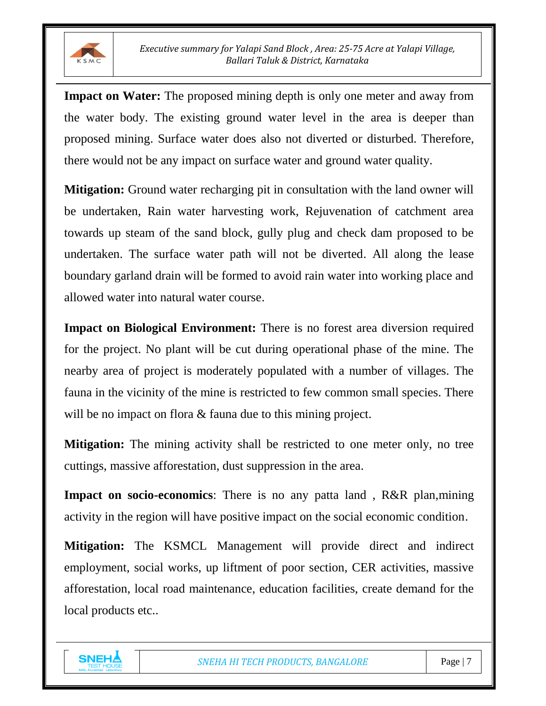

**Impact on Water:** The proposed mining depth is only one meter and away from the water body. The existing ground water level in the area is deeper than proposed mining. Surface water does also not diverted or disturbed. Therefore, there would not be any impact on surface water and ground water quality.

**Mitigation:** Ground water recharging pit in consultation with the land owner will be undertaken, Rain water harvesting work, Rejuvenation of catchment area towards up steam of the sand block, gully plug and check dam proposed to be undertaken. The surface water path will not be diverted. All along the lease boundary garland drain will be formed to avoid rain water into working place and allowed water into natural water course.

**Impact on Biological Environment:** There is no forest area diversion required for the project. No plant will be cut during operational phase of the mine. The nearby area of project is moderately populated with a number of villages. The fauna in the vicinity of the mine is restricted to few common small species. There will be no impact on flora & fauna due to this mining project.

**Mitigation:** The mining activity shall be restricted to one meter only, no tree cuttings, massive afforestation, dust suppression in the area.

**Impact on socio-economics**: There is no any patta land, R&R plan,mining activity in the region will have positive impact on the social economic condition.

**Mitigation:** The KSMCL Management will provide direct and indirect employment, social works, up liftment of poor section, CER activities, massive afforestation, local road maintenance, education facilities, create demand for the local products etc..

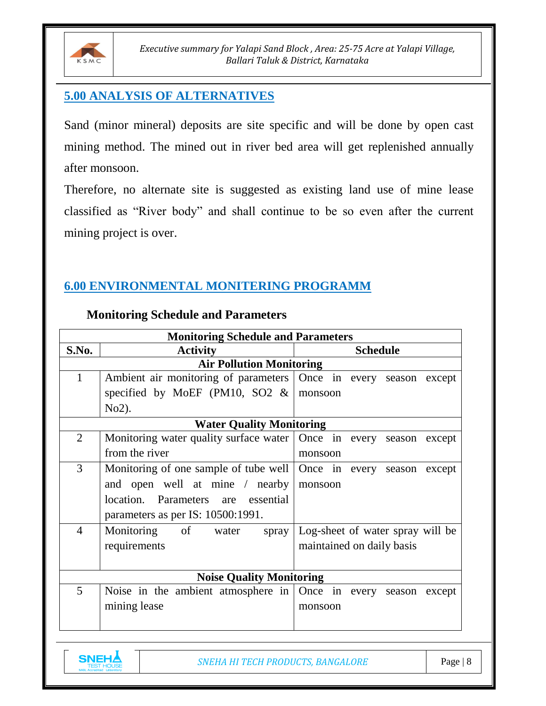

### **5.00 ANALYSIS OF ALTERNATIVES**

Sand (minor mineral) deposits are site specific and will be done by open cast mining method. The mined out in river bed area will get replenished annually after monsoon.

Therefore, no alternate site is suggested as existing land use of mine lease classified as "River body" and shall continue to be so even after the current mining project is over.

# **6.00 ENVIRONMENTAL MONITERING PROGRAMM**

|                | <b>Monitoring Schedule and Parameters</b>                            |                                  |  |  |  |
|----------------|----------------------------------------------------------------------|----------------------------------|--|--|--|
| S.No.          | <b>Activity</b>                                                      | <b>Schedule</b>                  |  |  |  |
|                | <b>Air Pollution Monitoring</b>                                      |                                  |  |  |  |
| $\mathbf{1}$   | Ambient air monitoring of parameters Once in every season except     |                                  |  |  |  |
|                | specified by MoEF (PM10, SO2 $\&$                                    | monsoon                          |  |  |  |
|                | $No2$ ).                                                             |                                  |  |  |  |
|                | <b>Water Quality Monitoring</b>                                      |                                  |  |  |  |
| 2              | Monitoring water quality surface water   Once in every season except |                                  |  |  |  |
|                | from the river                                                       | monsoon                          |  |  |  |
| 3              | Monitoring of one sample of tube well   Once in every season except  |                                  |  |  |  |
|                | and open well at mine / nearby                                       | monsoon                          |  |  |  |
|                | location. Parameters are essential                                   |                                  |  |  |  |
|                | parameters as per IS: 10500:1991.                                    |                                  |  |  |  |
| $\overline{4}$ | Monitoring of water<br>spray                                         | Log-sheet of water spray will be |  |  |  |
|                | requirements                                                         | maintained on daily basis        |  |  |  |
|                |                                                                      |                                  |  |  |  |
|                | <b>Noise Quality Monitoring</b>                                      |                                  |  |  |  |
| 5              | Noise in the ambient atmosphere in $\vert$ Once in every             | except<br>season                 |  |  |  |
|                | mining lease<br>monsoon                                              |                                  |  |  |  |
|                |                                                                      |                                  |  |  |  |
|                |                                                                      |                                  |  |  |  |

#### **Monitoring Schedule and Parameters**

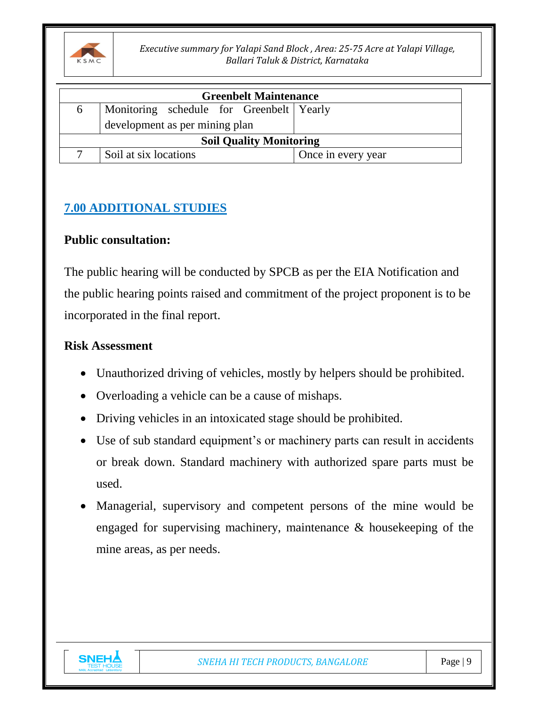

*Executive summary for Yalapi Sand Block , Area: 25-75 Acre at Yalapi Village, Ballari Taluk & District, Karnataka*

| <b>Greenbelt Maintenance</b>                             |                       |                    |  |  |
|----------------------------------------------------------|-----------------------|--------------------|--|--|
| Monitoring schedule for Greenbelt Yearly<br><sub>0</sub> |                       |                    |  |  |
| development as per mining plan                           |                       |                    |  |  |
| <b>Soil Quality Monitoring</b>                           |                       |                    |  |  |
|                                                          | Soil at six locations | Once in every year |  |  |

# **7.00 ADDITIONAL STUDIES**

#### **Public consultation:**

The public hearing will be conducted by SPCB as per the EIA Notification and the public hearing points raised and commitment of the project proponent is to be incorporated in the final report.

#### **Risk Assessment**

- Unauthorized driving of vehicles, mostly by helpers should be prohibited.
- Overloading a vehicle can be a cause of mishaps.
- Driving vehicles in an intoxicated stage should be prohibited.
- Use of sub standard equipment's or machinery parts can result in accidents or break down. Standard machinery with authorized spare parts must be used.
- Managerial, supervisory and competent persons of the mine would be engaged for supervising machinery, maintenance & housekeeping of the mine areas, as per needs.

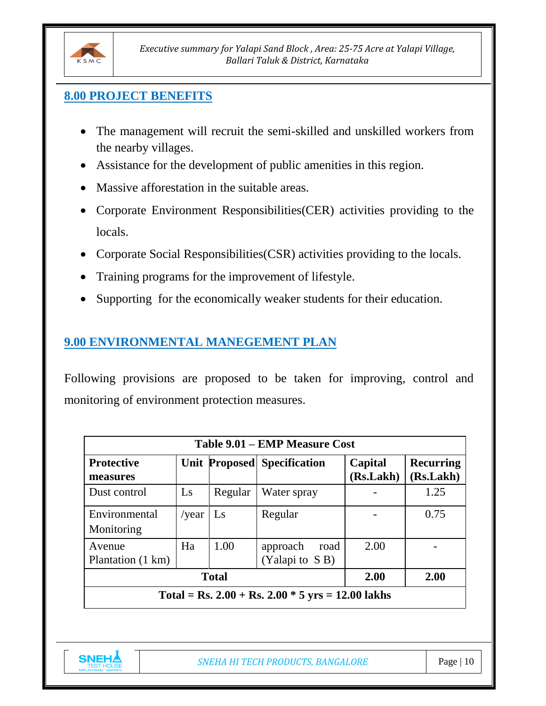

#### **8.00 PROJECT BENEFITS**

- The management will recruit the semi-skilled and unskilled workers from the nearby villages.
- Assistance for the development of public amenities in this region.
- Massive afforestation in the suitable areas.
- Corporate Environment Responsibilities(CER) activities providing to the locals.
- Corporate Social Responsibilities (CSR) activities providing to the locals.
- Training programs for the improvement of lifestyle.
- Supporting for the economically weaker students for their education.

# **9.00 ENVIRONMENTAL MANEGEMENT PLAN**

Following provisions are proposed to be taken for improving, control and monitoring of environment protection measures.

| Table 9.01 – EMP Measure Cost                                                                                                |      |         |             |  |      |  |
|------------------------------------------------------------------------------------------------------------------------------|------|---------|-------------|--|------|--|
| Capital<br><b>Protective</b><br><b>Unit Proposed Specification</b><br><b>Recurring</b><br>(Rs.Lakh)<br>(Rs.Lakh)<br>measures |      |         |             |  |      |  |
| Dust control                                                                                                                 | Ls   | Regular | Water spray |  | 1.25 |  |
| Environmental<br>Monitoring                                                                                                  |      | 0.75    |             |  |      |  |
| Avenue<br>Plantation (1 km)                                                                                                  | 2.00 |         |             |  |      |  |
| <b>Total</b><br>2.00<br>2.00                                                                                                 |      |         |             |  |      |  |
| Total = Rs. $2.00 +$ Rs. $2.00 * 5$ yrs = 12.00 lakhs                                                                        |      |         |             |  |      |  |

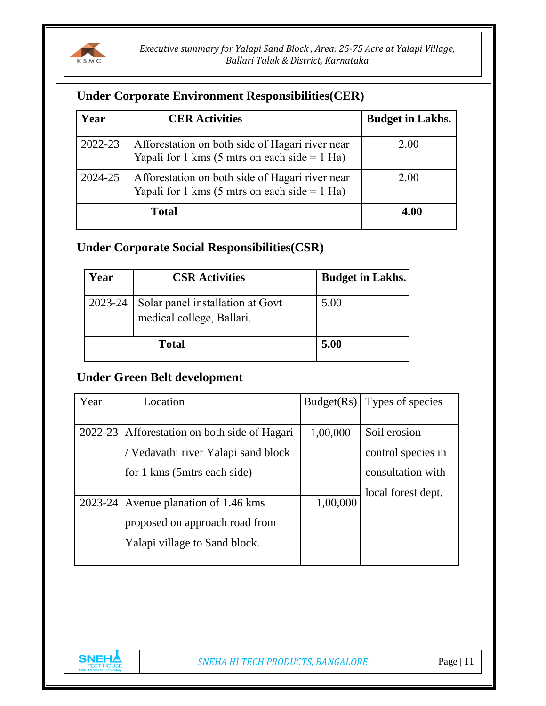

#### **Under Corporate Environment Responsibilities(CER)**

| Year    | <b>CER Activities</b>                                                                              | <b>Budget in Lakhs.</b> |
|---------|----------------------------------------------------------------------------------------------------|-------------------------|
| 2022-23 | Afforestation on both side of Hagari river near<br>Yapali for 1 kms (5 mtrs on each side $=$ 1 Ha) | 2.00                    |
| 2024-25 | Afforestation on both side of Hagari river near<br>Yapali for 1 kms (5 mtrs on each side $=$ 1 Ha) | 2.00                    |
|         | <b>Total</b>                                                                                       | 4.00                    |

# **Under Corporate Social Responsibilities(CSR)**

| Year    | <b>CSR Activities</b>                                         | <b>Budget in Lakhs.</b> |
|---------|---------------------------------------------------------------|-------------------------|
| 2023-24 | Solar panel installation at Govt<br>medical college, Ballari. | 5.00                    |
|         | <b>Total</b>                                                  | 5.00                    |

#### **Under Green Belt development**

| Year    | Location                                     | Budget(Rs) | Types of species   |
|---------|----------------------------------------------|------------|--------------------|
|         |                                              |            |                    |
|         | 2022-23 Afforestation on both side of Hagari | 1,00,000   | Soil erosion       |
|         | / Vedavathi river Yalapi sand block          |            | control species in |
|         | for 1 kms (5 mtrs each side)                 |            | consultation with  |
|         |                                              |            | local forest dept. |
| 2023-24 | Avenue planation of 1.46 kms                 | 1,00,000   |                    |
|         | proposed on approach road from               |            |                    |
|         | Yalapi village to Sand block.                |            |                    |
|         |                                              |            |                    |